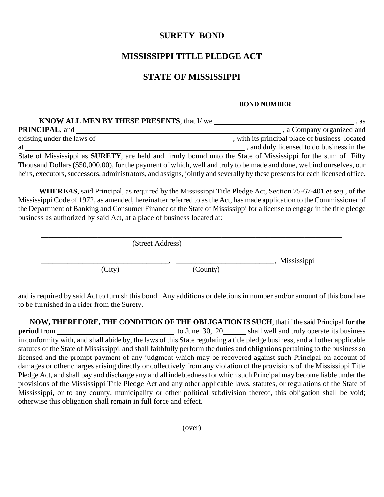## **SURETY BOND**

## **MISSISSIPPI TITLE PLEDGE ACT**

## **STATE OF MISSISSIPPI**

## **BOND NUMBER \_\_\_\_\_\_\_\_\_\_\_\_\_\_\_\_\_\_\_\_\_**

| <b>KNOW ALL MEN BY THESE PRESENTS, that I/ we</b>                                                                                                                                                                               | . as                                           |
|---------------------------------------------------------------------------------------------------------------------------------------------------------------------------------------------------------------------------------|------------------------------------------------|
| <b>PRINCIPAL, and</b>                                                                                                                                                                                                           | , a Company organized and                      |
| existing under the laws of                                                                                                                                                                                                      | , with its principal place of business located |
| at the state of the state of the state of the state of the state of the state of the state of the state of the state of the state of the state of the state of the state of the state of the state of the state of the state of | , and duly licensed to do business in the      |
| State of Mississippi as <b>SURETY</b> , are held and firmly bound unto the State of Mississippi for the sum of Fifty                                                                                                            |                                                |
| Thousand Dollars (\$50,000.00), for the payment of which, well and truly to be made and done, we bind ourselves, our                                                                                                            |                                                |
| heirs, executors, successors, administrators, and assigns, jointly and severally by these presents for each licensed office.                                                                                                    |                                                |

**WHEREAS**, said Principal, as required by the Mississippi Title Pledge Act, Section 75-67-401 *et seq*., of the Mississippi Code of 1972, as amended, hereinafter referred to as the Act, has made application to the Commissioner of the Department of Banking and Consumer Finance of the State of Mississippi for a license to engage in the title pledge business as authorized by said Act, at a place of business located at:

|        | (Street Address) |             |
|--------|------------------|-------------|
| (City) | (County)         | Mississippi |

and is required by said Act to furnish this bond. Any additions or deletions in number and/or amount of this bond are to be furnished in a rider from the Surety.

**NOW, THEREFORE, THE CONDITION OF THE OBLIGATION IS SUCH**, that if the said Principal **for the period** from <u>to June 30, 20</u> shall well and truly operate its business in conformity with, and shall abide by, the laws of this State regulating a title pledge business, and all other applicable statutes of the State of Mississippi, and shall faithfully perform the duties and obligations pertaining to the business so licensed and the prompt payment of any judgment which may be recovered against such Principal on account of damages or other charges arising directly or collectively from any violation of the provisions of the Mississippi Title Pledge Act, and shall pay and discharge any and all indebtedness for which such Principal may become liable under the provisions of the Mississippi Title Pledge Act and any other applicable laws, statutes, or regulations of the State of Mississippi, or to any county, municipality or other political subdivision thereof, this obligation shall be void; otherwise this obligation shall remain in full force and effect.

(over)